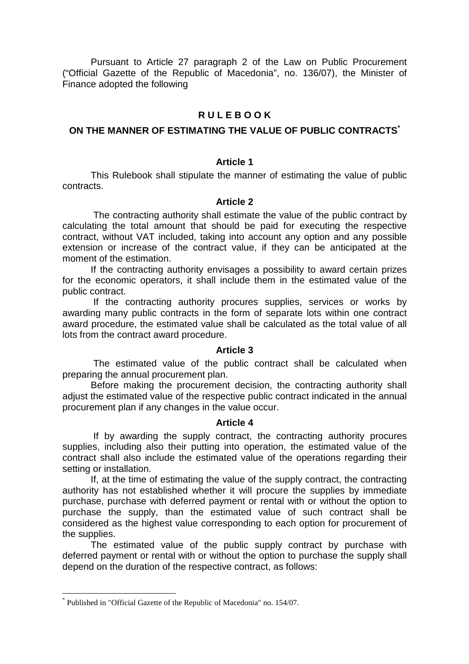Pursuant to Article 27 paragraph 2 of the Law on Public Procurement ("Official Gazette of the Republic of Macedonia", no. 136/07), the Minister of Finance adopted the following

# **RULEBOOK**

# **ON THE MANNER OF ESTIMATING THE VALUE OF PUBLIC CONTRACTS\***

### **Article 1**

This Rulebook shall stipulate the manner of estimating the value of public contracts.

### **Article 2**

 The contracting authority shall estimate the value of the public contract by calculating the total amount that should be paid for executing the respective contract, without VAT included, taking into account any option and any possible extension or increase of the contract value, if they can be anticipated at the moment of the estimation.

If the contracting authority envisages a possibility to award certain prizes for the economic operators, it shall include them in the estimated value of the public contract.

 If the contracting authority procures supplies, services or works by awarding many public contracts in the form of separate lots within one contract award procedure, the estimated value shall be calculated as the total value of all lots from the contract award procedure.

# **Article 3**

 The estimated value of the public contract shall be calculated when preparing the annual procurement plan.

Before making the procurement decision, the contracting authority shall adjust the estimated value of the respective public contract indicated in the annual procurement plan if any changes in the value occur.

#### **Article 4**

 If by awarding the supply contract, the contracting authority procures supplies, including also their putting into operation, the estimated value of the contract shall also include the estimated value of the operations regarding their setting or installation.

If, at the time of estimating the value of the supply contract, the contracting authority has not established whether it will procure the supplies by immediate purchase, purchase with deferred payment or rental with or without the option to purchase the supply, than the estimated value of such contract shall be considered as the highest value corresponding to each option for procurement of the supplies.

The estimated value of the public supply contract by purchase with deferred payment or rental with or without the option to purchase the supply shall depend on the duration of the respective contract, as follows:

 $\overline{a}$ 

<sup>\*</sup> Published in "Official Gazette of the Republic of Macedonia" no. 154/07.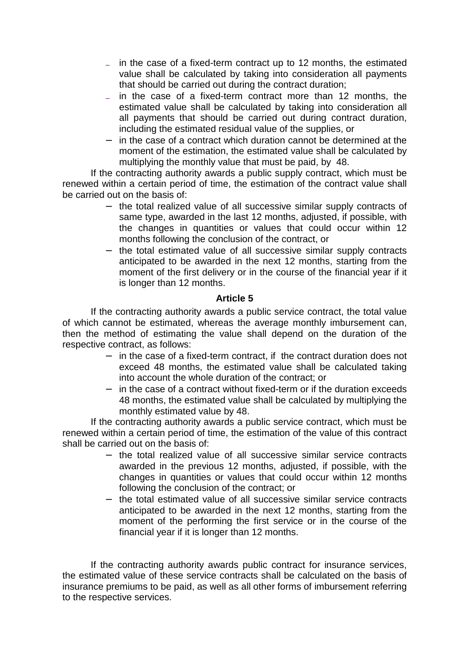- in the case of a fixed-term contract up to 12 months, the estimated value shall be calculated by taking into consideration all payments that should be carried out during the contract duration;
- in the case of a fixed-term contract more than 12 months, the estimated value shall be calculated by taking into consideration all all payments that should be carried out during contract duration, including the estimated residual value of the supplies, or
- in the case of a contract which duration cannot be determined at the moment of the estimation, the estimated value shall be calculated by multiplying the monthly value that must be paid, by 48.

If the contracting authority awards a public supply contract, which must be renewed within a certain period of time, the estimation of the contract value shall be carried out on the basis of:

- − the total realized value of all successive similar supply contracts of same type, awarded in the last 12 months, adjusted, if possible, with the changes in quantities or values that could occur within 12 months following the conclusion of the contract, or
- − the total estimated value of all successive similar supply contracts anticipated to be awarded in the next 12 months, starting from the moment of the first delivery or in the course of the financial year if it is longer than 12 months.

# **Article 5**

If the contracting authority awards a public service contract, the total value of which cannot be estimated, whereas the average monthly imbursement can, then the method of estimating the value shall depend on the duration of the respective contract, as follows:

- − in the case of a fixed-term contract, if the contract duration does not exceed 48 months, the estimated value shall be calculated taking into account the whole duration of the contract; or
- − in the case of a contract without fixed-term or if the duration exceeds 48 months, the estimated value shall be calculated by multiplying the monthly estimated value by 48.

If the contracting authority awards a public service contract, which must be renewed within a certain period of time, the estimation of the value of this contract shall be carried out on the basis of:

- − the total realized value of all successive similar service contracts awarded in the previous 12 months, adjusted, if possible, with the changes in quantities or values that could occur within 12 months following the conclusion of the contract; or
- − the total estimated value of all successive similar service contracts anticipated to be awarded in the next 12 months, starting from the moment of the performing the first service or in the course of the financial year if it is longer than 12 months.

If the contracting authority awards public contract for insurance services, the estimated value of these service contracts shall be calculated on the basis of insurance premiums to be paid, as well as all other forms of imbursement referring to the respective services.